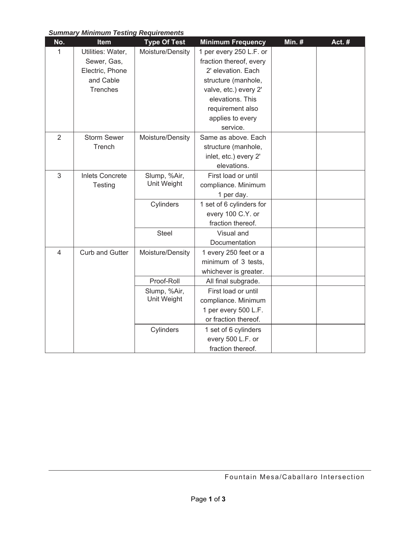## *Summary Minimum Testing Requirements*

| No.            | mummum rooting roquiromonto<br>Item | <b>Type Of Test</b>         | <b>Minimum Frequency</b> | Min. $#$ | Act. # |
|----------------|-------------------------------------|-----------------------------|--------------------------|----------|--------|
| 1              | Utilities: Water,                   | Moisture/Density            | 1 per every 250 L.F. or  |          |        |
|                | Sewer, Gas,                         |                             | fraction thereof, every  |          |        |
|                | Electric, Phone                     |                             | 2' elevation. Each       |          |        |
|                | and Cable                           |                             | structure (manhole,      |          |        |
|                | <b>Trenches</b>                     |                             | valve, etc.) every 2'    |          |        |
|                |                                     |                             | elevations. This         |          |        |
|                |                                     |                             | requirement also         |          |        |
|                |                                     |                             | applies to every         |          |        |
|                |                                     |                             | service.                 |          |        |
| $\overline{2}$ | <b>Storm Sewer</b><br>Trench        | Moisture/Density            | Same as above. Each      |          |        |
|                |                                     |                             | structure (manhole,      |          |        |
|                |                                     |                             | inlet, etc.) every 2'    |          |        |
|                |                                     |                             | elevations.              |          |        |
| $\mathfrak{S}$ | <b>Inlets Concrete</b><br>Testing   | Slump, %Air,<br>Unit Weight | First load or until      |          |        |
|                |                                     |                             | compliance. Minimum      |          |        |
|                |                                     |                             | 1 per day.               |          |        |
|                |                                     | Cylinders                   | 1 set of 6 cylinders for |          |        |
|                |                                     |                             | every 100 C.Y. or        |          |        |
|                |                                     |                             | fraction thereof.        |          |        |
|                |                                     | <b>Steel</b>                | Visual and               |          |        |
|                |                                     |                             | Documentation            |          |        |
| 4              | <b>Curb and Gutter</b>              | Moisture/Density            | 1 every 250 feet or a    |          |        |
|                |                                     |                             | minimum of 3 tests,      |          |        |
|                |                                     |                             | whichever is greater.    |          |        |
|                |                                     | Proof-Roll                  | All final subgrade.      |          |        |
|                |                                     | Slump, %Air,<br>Unit Weight | First load or until      |          |        |
|                |                                     |                             | compliance. Minimum      |          |        |
|                |                                     |                             | 1 per every 500 L.F.     |          |        |
|                |                                     |                             | or fraction thereof.     |          |        |
|                |                                     | Cylinders                   | 1 set of 6 cylinders     |          |        |
|                |                                     |                             | every 500 L.F. or        |          |        |
|                |                                     |                             | fraction thereof.        |          |        |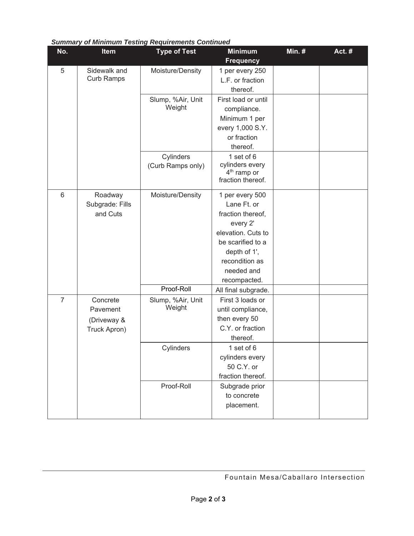| No.            | Item                                   | <b>Type of Test</b>         | <b>Minimum</b>          | <b>Min. #</b> | Act.# |
|----------------|----------------------------------------|-----------------------------|-------------------------|---------------|-------|
|                |                                        |                             | <b>Frequency</b>        |               |       |
| 5              | Sidewalk and<br><b>Curb Ramps</b>      | Moisture/Density            | 1 per every 250         |               |       |
|                |                                        |                             | L.F. or fraction        |               |       |
|                |                                        |                             | thereof.                |               |       |
|                |                                        | Slump, %Air, Unit<br>Weight | First load or until     |               |       |
|                |                                        |                             | compliance.             |               |       |
|                |                                        |                             | Minimum 1 per           |               |       |
|                |                                        |                             | every 1,000 S.Y.        |               |       |
|                |                                        |                             | or fraction             |               |       |
|                |                                        |                             | thereof.                |               |       |
|                |                                        | Cylinders                   | 1 set of 6              |               |       |
|                |                                        | (Curb Ramps only)           | cylinders every         |               |       |
|                |                                        |                             | 4 <sup>th</sup> ramp or |               |       |
|                |                                        |                             | fraction thereof.       |               |       |
| 6              | Roadway<br>Subgrade: Fills<br>and Cuts | Moisture/Density            | 1 per every 500         |               |       |
|                |                                        |                             | Lane Ft. or             |               |       |
|                |                                        |                             | fraction thereof,       |               |       |
|                |                                        |                             | every 2'                |               |       |
|                |                                        |                             | elevation. Cuts to      |               |       |
|                |                                        |                             | be scarified to a       |               |       |
|                |                                        |                             | depth of 1',            |               |       |
|                |                                        |                             | recondition as          |               |       |
|                |                                        |                             | needed and              |               |       |
|                |                                        |                             | recompacted.            |               |       |
|                |                                        | Proof-Roll                  | All final subgrade.     |               |       |
| $\overline{7}$ | Concrete                               | Slump, %Air, Unit<br>Weight | First 3 loads or        |               |       |
|                | Pavement                               |                             | until compliance,       |               |       |
|                | (Driveway &                            |                             | then every 50           |               |       |
|                | Truck Apron)                           |                             | C.Y. or fraction        |               |       |
|                |                                        |                             | thereof.                |               |       |
|                |                                        | Cylinders                   | 1 set of 6              |               |       |
|                |                                        |                             | cylinders every         |               |       |
|                |                                        |                             | 50 C.Y. or              |               |       |
|                |                                        |                             | fraction thereof.       |               |       |
|                |                                        | Proof-Roll                  | Subgrade prior          |               |       |
|                |                                        |                             | to concrete             |               |       |
|                |                                        |                             | placement.              |               |       |
|                |                                        |                             |                         |               |       |

## *Summary of Minimum Testing Requirements Continued*